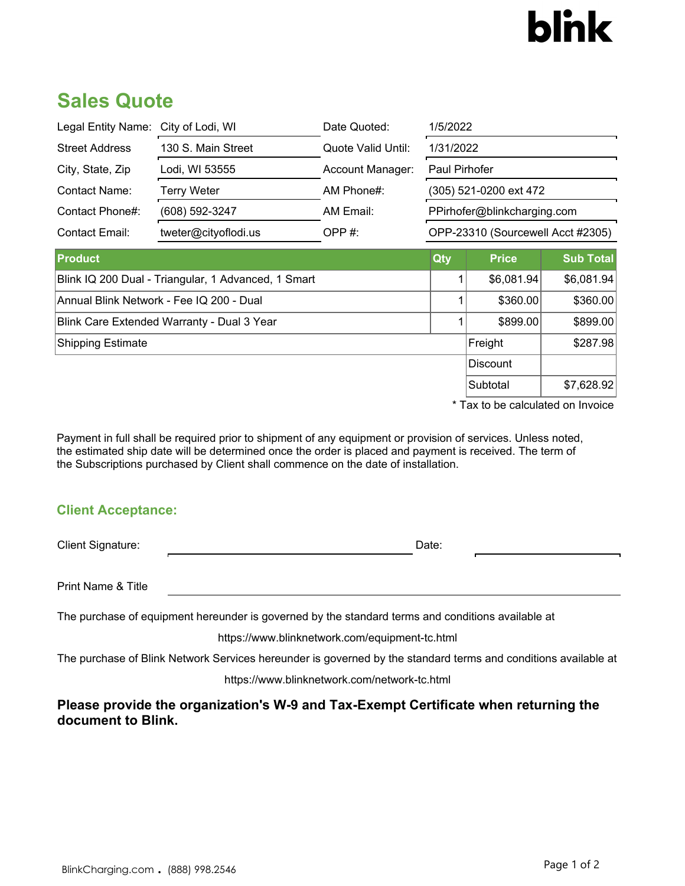# **blnk**

## **Sales Quote**

| Legal Entity Name: City of Lodi, WI                 |                      | Date Quoted:       | 1/5/2022                          |              |                  |
|-----------------------------------------------------|----------------------|--------------------|-----------------------------------|--------------|------------------|
| <b>Street Address</b>                               | 130 S. Main Street   | Quote Valid Until: | 1/31/2022                         |              |                  |
| City, State, Zip                                    | Lodi, WI 53555       | Account Manager:   | Paul Pirhofer                     |              |                  |
| Contact Name:                                       | <b>Terry Weter</b>   | AM Phone#:         | (305) 521-0200 ext 472            |              |                  |
| Contact Phone#:                                     | (608) 592-3247       | AM Email:          | PPirhofer@blinkcharging.com       |              |                  |
| Contact Email:                                      | tweter@cityoflodi.us | OPP $#$ :          | OPP-23310 (Sourcewell Acct #2305) |              |                  |
| <b>Product</b>                                      |                      |                    | Qty                               | <b>Price</b> | <b>Sub Total</b> |
| Blink IQ 200 Dual - Triangular, 1 Advanced, 1 Smart |                      |                    |                                   | \$6,081.94   | \$6,081.94       |
| Annual Blink Network - Fee IQ 200 - Dual            |                      |                    |                                   | \$360.00     | \$360.00         |
| Blink Care Extended Warranty - Dual 3 Year          |                      |                    |                                   | \$899.00     | \$899.00         |
| Shipping Estimate                                   |                      |                    |                                   | Freight      | \$287.98         |
|                                                     |                      |                    | <b>Discount</b>                   |              |                  |
|                                                     |                      |                    |                                   | Subtotal     | \$7,628.92       |

\* Tax to be calculated on Invoice

Payment in full shall be required prior to shipment of any equipment or provision of services. Unless noted, the estimated ship date will be determined once the order is placed and payment is received. The term of the Subscriptions purchased by Client shall commence on the date of installation.

#### **Client Acceptance:**

Client Signature: Date: Date: Date: Date: Date: Date: Date: Date: Date: Date: Date: Date: Date: Date: Date: Date: Date: Date: Date: Date: Date: Date: Date: Date: Date: Date: Date: Date: Date: Date: Date: Date: Date: Date:

Print Name & Title

The purchase of equipment hereunder is governed by the standard terms and conditions available at

https://www.blinknetwork.com/equipment-tc.html

The purchase of Blink Network Services hereunder is governed by the standard terms and conditions available at

https://www.blinknetwork.com/network-tc.html

**Please provide the organization's W-9 and Tax-Exempt Certificate when returning the document to Blink.**